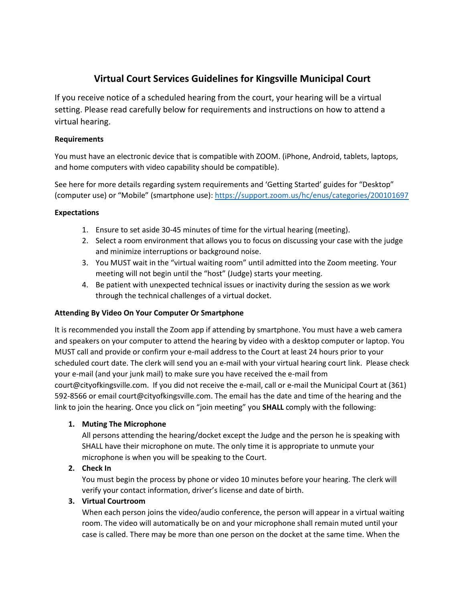# **Virtual Court Services Guidelines for Kingsville Municipal Court**

If you receive notice of a scheduled hearing from the court, your hearing will be a virtual setting. Please read carefully below for requirements and instructions on how to attend a virtual hearing.

#### **Requirements**

You must have an electronic device that is compatible with ZOOM. (iPhone, Android, tablets, laptops, and home computers with video capability should be compatible).

See here for more details regarding system requirements and 'Getting Started' guides for "Desktop" (computer use) or "Mobile" (smartphone use): <https://support.zoom.us/hc/enus/categories/200101697>

#### **Expectations**

- 1. Ensure to set aside 30-45 minutes of time for the virtual hearing (meeting).
- 2. Select a room environment that allows you to focus on discussing your case with the judge and minimize interruptions or background noise.
- 3. You MUST wait in the "virtual waiting room" until admitted into the Zoom meeting. Your meeting will not begin until the "host" (Judge) starts your meeting.
- 4. Be patient with unexpected technical issues or inactivity during the session as we work through the technical challenges of a virtual docket.

## **Attending By Video On Your Computer Or Smartphone**

It is recommended you install the Zoom app if attending by smartphone. You must have a web camera and speakers on your computer to attend the hearing by video with a desktop computer or laptop. You MUST call and provide or confirm your e-mail address to the Court at least 24 hours prior to your scheduled court date. The clerk will send you an e-mail with your virtual hearing court link. Please check your e-mail (and your junk mail) to make sure you have received the e-mail from court@cityofkingsville.com. If you did not receive the e-mail, call or e-mail the Municipal Court at (361) 592-8566 or email court@cityofkingsville.com. The email has the date and time of the hearing and the link to join the hearing. Once you click on "join meeting" you **SHALL** comply with the following:

## **1. Muting The Microphone**

All persons attending the hearing/docket except the Judge and the person he is speaking with SHALL have their microphone on mute. The only time it is appropriate to unmute your microphone is when you will be speaking to the Court.

## **2. Check In**

You must begin the process by phone or video 10 minutes before your hearing. The clerk will verify your contact information, driver's license and date of birth.

## **3. Virtual Courtroom**

When each person joins the video/audio conference, the person will appear in a virtual waiting room. The video will automatically be on and your microphone shall remain muted until your case is called. There may be more than one person on the docket at the same time. When the